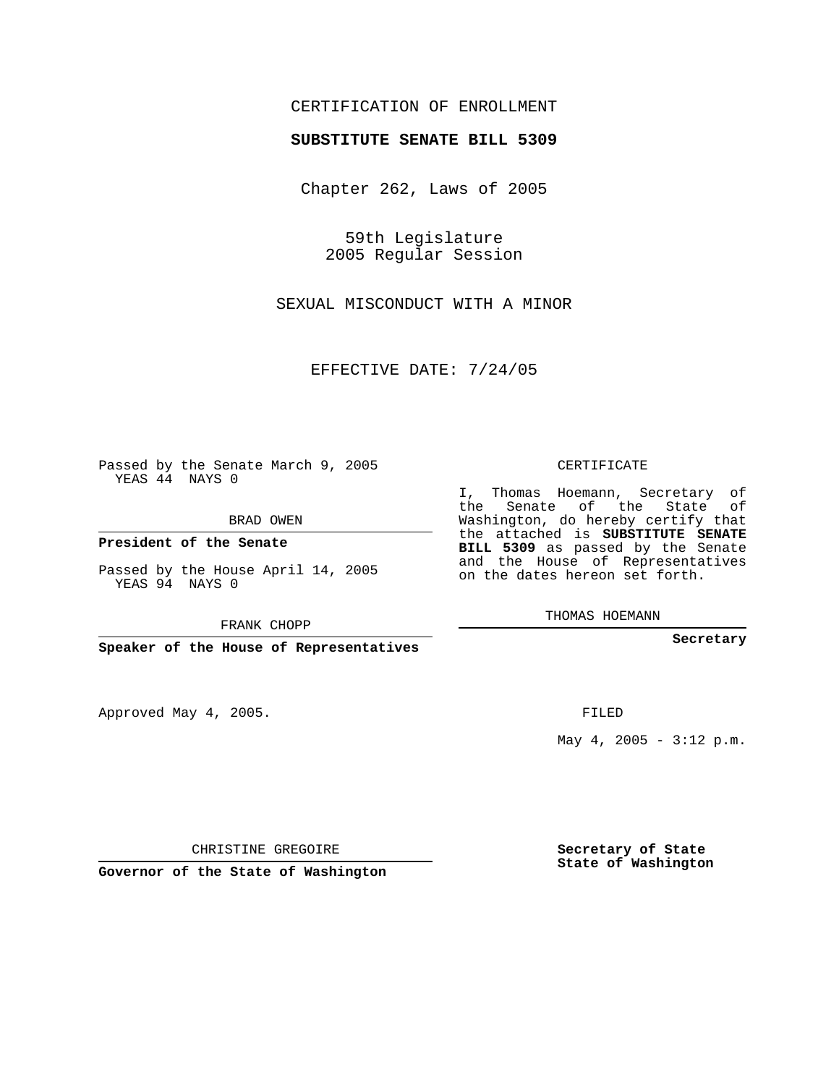## CERTIFICATION OF ENROLLMENT

## **SUBSTITUTE SENATE BILL 5309**

Chapter 262, Laws of 2005

59th Legislature 2005 Regular Session

SEXUAL MISCONDUCT WITH A MINOR

EFFECTIVE DATE: 7/24/05

Passed by the Senate March 9, 2005 YEAS 44 NAYS 0

BRAD OWEN

**President of the Senate**

Passed by the House April 14, 2005 YEAS 94 NAYS 0

FRANK CHOPP

**Speaker of the House of Representatives**

Approved May 4, 2005.

CERTIFICATE

I, Thomas Hoemann, Secretary of the Senate of the State of Washington, do hereby certify that the attached is **SUBSTITUTE SENATE BILL 5309** as passed by the Senate and the House of Representatives on the dates hereon set forth.

THOMAS HOEMANN

**Secretary**

FILED

May  $4$ , 2005 - 3:12 p.m.

CHRISTINE GREGOIRE

**Governor of the State of Washington**

**Secretary of State State of Washington**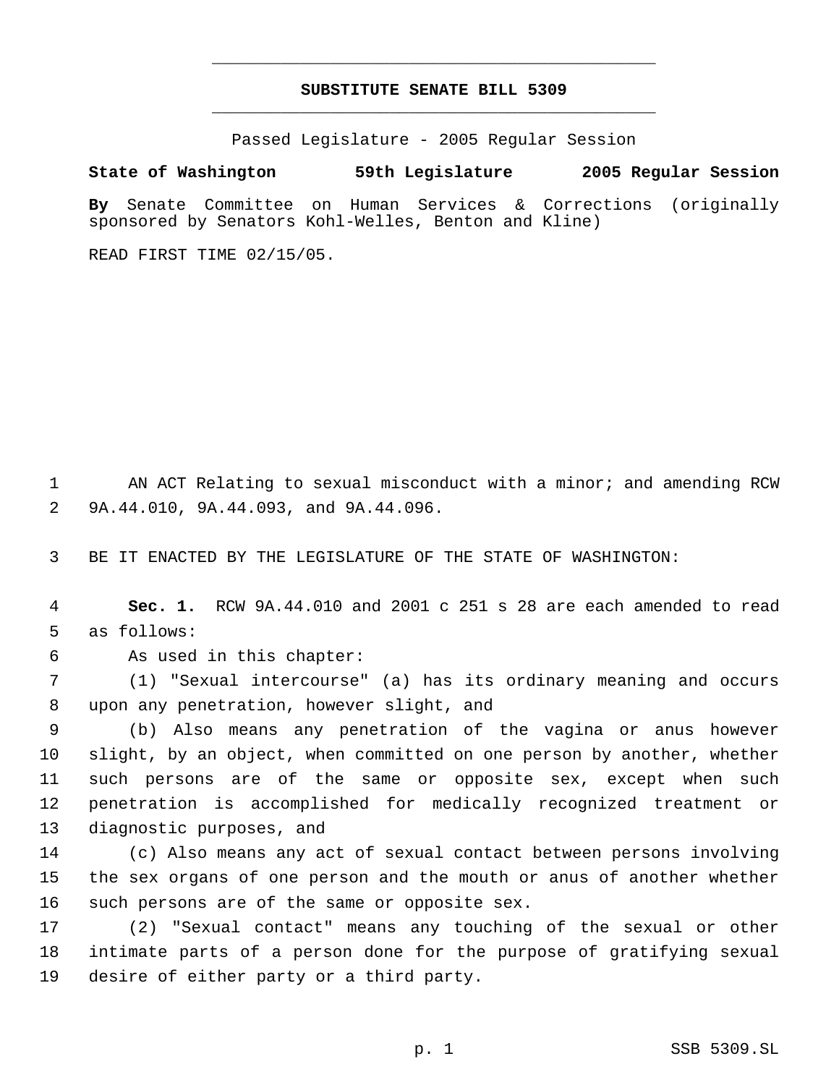## **SUBSTITUTE SENATE BILL 5309** \_\_\_\_\_\_\_\_\_\_\_\_\_\_\_\_\_\_\_\_\_\_\_\_\_\_\_\_\_\_\_\_\_\_\_\_\_\_\_\_\_\_\_\_\_

\_\_\_\_\_\_\_\_\_\_\_\_\_\_\_\_\_\_\_\_\_\_\_\_\_\_\_\_\_\_\_\_\_\_\_\_\_\_\_\_\_\_\_\_\_

Passed Legislature - 2005 Regular Session

## **State of Washington 59th Legislature 2005 Regular Session**

**By** Senate Committee on Human Services & Corrections (originally sponsored by Senators Kohl-Welles, Benton and Kline)

READ FIRST TIME 02/15/05.

1 AN ACT Relating to sexual misconduct with a minor; and amending RCW 9A.44.010, 9A.44.093, and 9A.44.096.

BE IT ENACTED BY THE LEGISLATURE OF THE STATE OF WASHINGTON:

 **Sec. 1.** RCW 9A.44.010 and 2001 c 251 s 28 are each amended to read as follows:

As used in this chapter:

 (1) "Sexual intercourse" (a) has its ordinary meaning and occurs upon any penetration, however slight, and

 (b) Also means any penetration of the vagina or anus however slight, by an object, when committed on one person by another, whether such persons are of the same or opposite sex, except when such penetration is accomplished for medically recognized treatment or diagnostic purposes, and

 (c) Also means any act of sexual contact between persons involving the sex organs of one person and the mouth or anus of another whether such persons are of the same or opposite sex.

 (2) "Sexual contact" means any touching of the sexual or other intimate parts of a person done for the purpose of gratifying sexual desire of either party or a third party.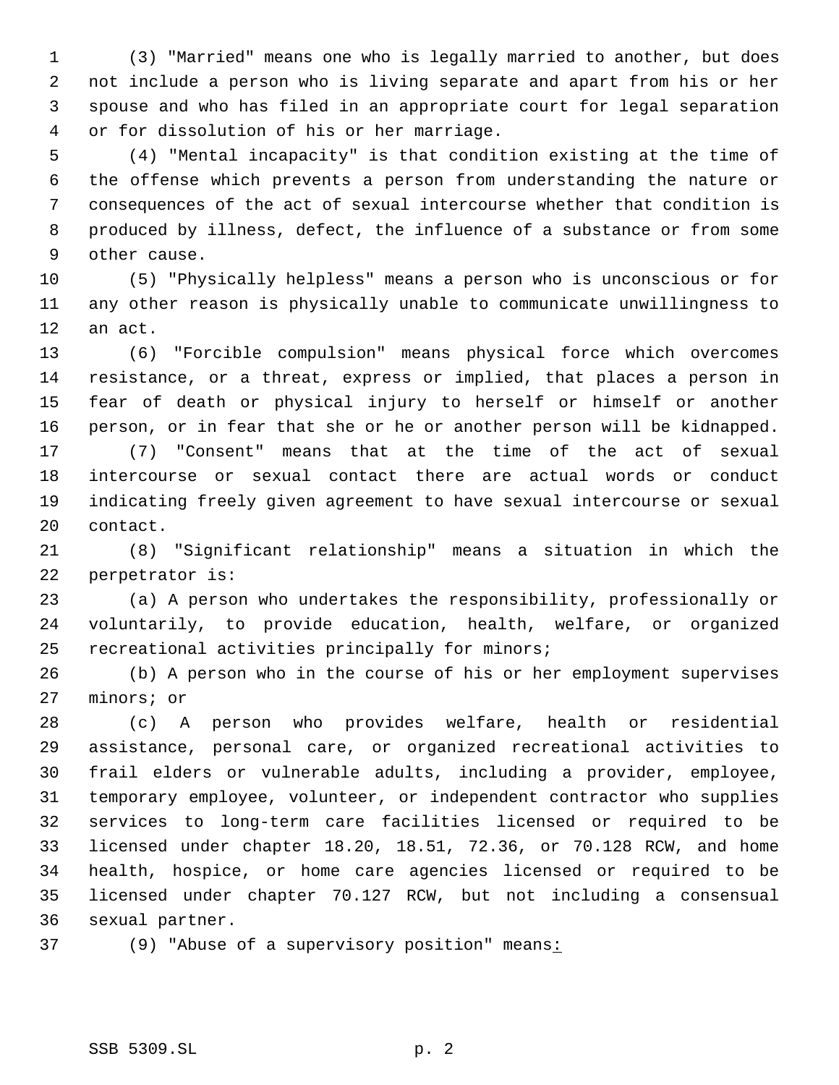(3) "Married" means one who is legally married to another, but does not include a person who is living separate and apart from his or her spouse and who has filed in an appropriate court for legal separation or for dissolution of his or her marriage.

 (4) "Mental incapacity" is that condition existing at the time of the offense which prevents a person from understanding the nature or consequences of the act of sexual intercourse whether that condition is produced by illness, defect, the influence of a substance or from some other cause.

 (5) "Physically helpless" means a person who is unconscious or for any other reason is physically unable to communicate unwillingness to an act.

 (6) "Forcible compulsion" means physical force which overcomes resistance, or a threat, express or implied, that places a person in fear of death or physical injury to herself or himself or another person, or in fear that she or he or another person will be kidnapped.

 (7) "Consent" means that at the time of the act of sexual intercourse or sexual contact there are actual words or conduct indicating freely given agreement to have sexual intercourse or sexual contact.

 (8) "Significant relationship" means a situation in which the perpetrator is:

 (a) A person who undertakes the responsibility, professionally or voluntarily, to provide education, health, welfare, or organized recreational activities principally for minors;

 (b) A person who in the course of his or her employment supervises minors; or

 (c) A person who provides welfare, health or residential assistance, personal care, or organized recreational activities to frail elders or vulnerable adults, including a provider, employee, temporary employee, volunteer, or independent contractor who supplies services to long-term care facilities licensed or required to be licensed under chapter 18.20, 18.51, 72.36, or 70.128 RCW, and home health, hospice, or home care agencies licensed or required to be licensed under chapter 70.127 RCW, but not including a consensual sexual partner.

37 (9) "Abuse of a supervisory position" means: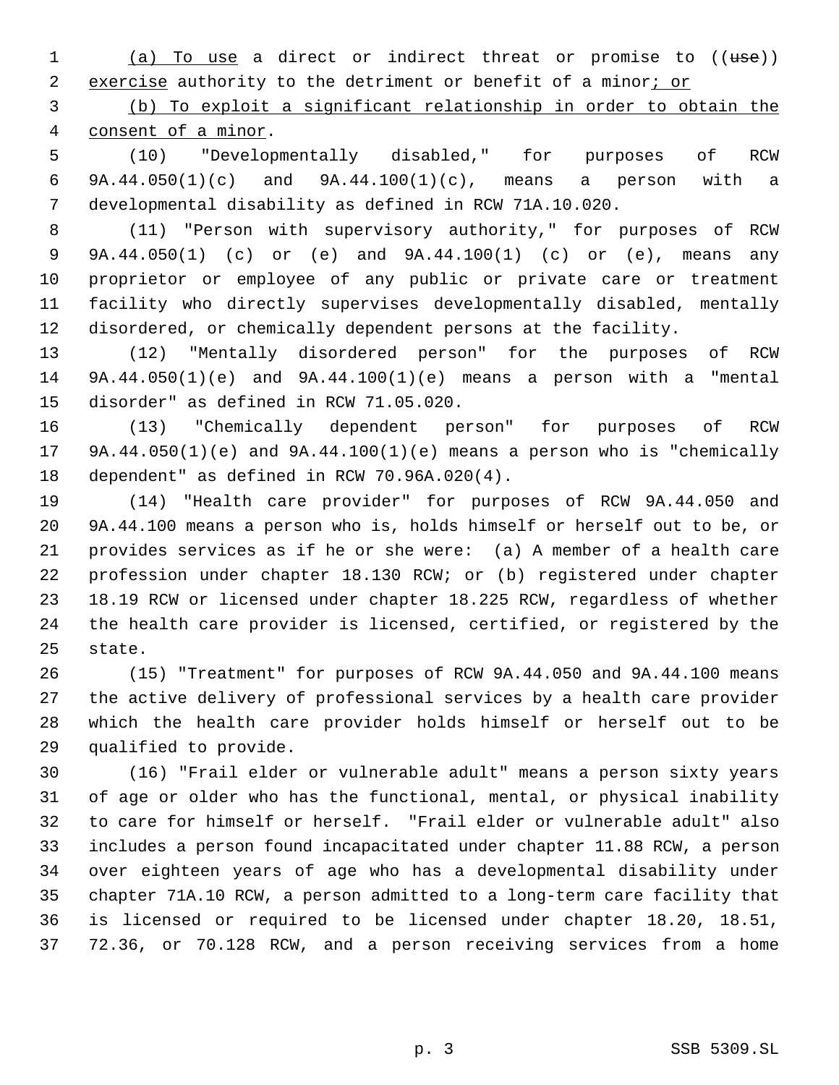1 (a) To use a direct or indirect threat or promise to ((use)) 2 exercise authority to the detriment or benefit of a minor; or

 (b) To exploit a significant relationship in order to obtain the consent of a minor.

 (10) "Developmentally disabled," for purposes of RCW 9A.44.050(1)(c) and 9A.44.100(1)(c), means a person with a developmental disability as defined in RCW 71A.10.020.

 (11) "Person with supervisory authority," for purposes of RCW 9A.44.050(1) (c) or (e) and 9A.44.100(1) (c) or (e), means any proprietor or employee of any public or private care or treatment facility who directly supervises developmentally disabled, mentally disordered, or chemically dependent persons at the facility.

 (12) "Mentally disordered person" for the purposes of RCW 9A.44.050(1)(e) and 9A.44.100(1)(e) means a person with a "mental disorder" as defined in RCW 71.05.020.

 (13) "Chemically dependent person" for purposes of RCW 9A.44.050(1)(e) and 9A.44.100(1)(e) means a person who is "chemically dependent" as defined in RCW 70.96A.020(4).

 (14) "Health care provider" for purposes of RCW 9A.44.050 and 9A.44.100 means a person who is, holds himself or herself out to be, or provides services as if he or she were: (a) A member of a health care profession under chapter 18.130 RCW; or (b) registered under chapter 18.19 RCW or licensed under chapter 18.225 RCW, regardless of whether the health care provider is licensed, certified, or registered by the state.

 (15) "Treatment" for purposes of RCW 9A.44.050 and 9A.44.100 means the active delivery of professional services by a health care provider which the health care provider holds himself or herself out to be qualified to provide.

 (16) "Frail elder or vulnerable adult" means a person sixty years of age or older who has the functional, mental, or physical inability to care for himself or herself. "Frail elder or vulnerable adult" also includes a person found incapacitated under chapter 11.88 RCW, a person over eighteen years of age who has a developmental disability under chapter 71A.10 RCW, a person admitted to a long-term care facility that is licensed or required to be licensed under chapter 18.20, 18.51, 72.36, or 70.128 RCW, and a person receiving services from a home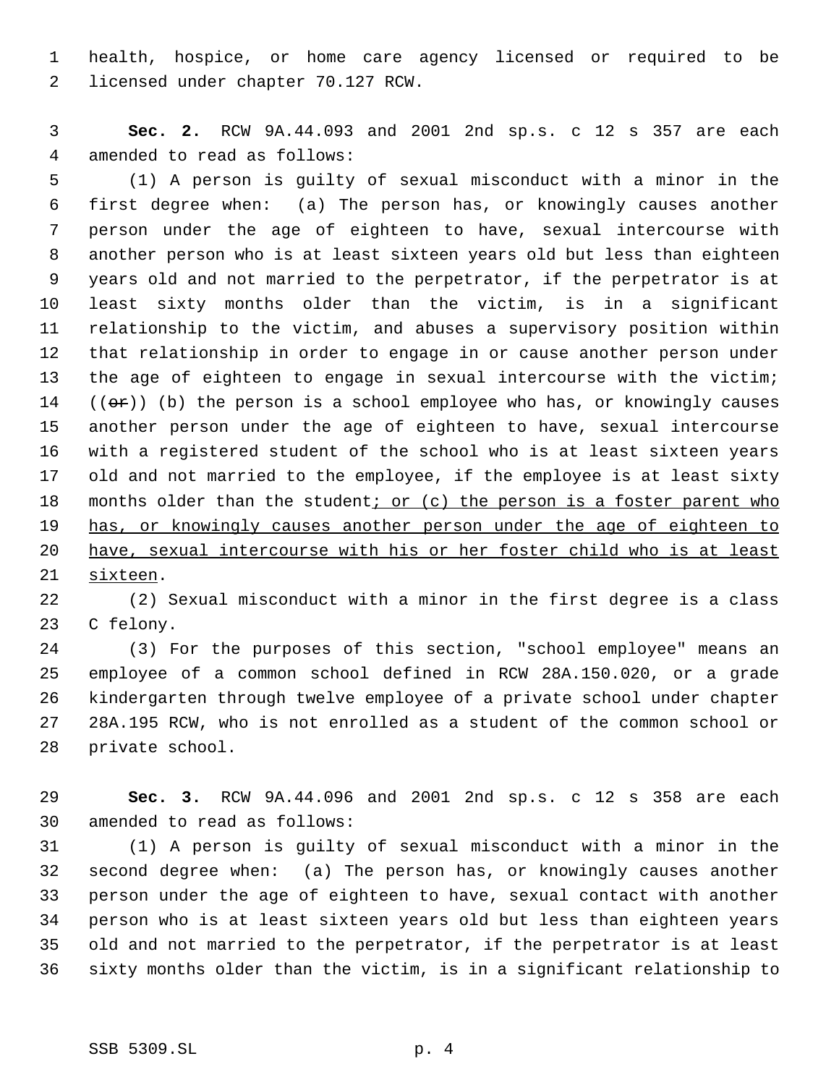health, hospice, or home care agency licensed or required to be licensed under chapter 70.127 RCW.

 **Sec. 2.** RCW 9A.44.093 and 2001 2nd sp.s. c 12 s 357 are each amended to read as follows:

 (1) A person is guilty of sexual misconduct with a minor in the first degree when: (a) The person has, or knowingly causes another person under the age of eighteen to have, sexual intercourse with another person who is at least sixteen years old but less than eighteen years old and not married to the perpetrator, if the perpetrator is at least sixty months older than the victim, is in a significant relationship to the victim, and abuses a supervisory position within that relationship in order to engage in or cause another person under the age of eighteen to engage in sexual intercourse with the victim;  $((\sigma \cdot r))$  (b) the person is a school employee who has, or knowingly causes another person under the age of eighteen to have, sexual intercourse with a registered student of the school who is at least sixteen years old and not married to the employee, if the employee is at least sixty 18 months older than the student; or  $(c)$  the person is a foster parent who 19 has, or knowingly causes another person under the age of eighteen to have, sexual intercourse with his or her foster child who is at least sixteen.

 (2) Sexual misconduct with a minor in the first degree is a class C felony.

 (3) For the purposes of this section, "school employee" means an employee of a common school defined in RCW 28A.150.020, or a grade kindergarten through twelve employee of a private school under chapter 28A.195 RCW, who is not enrolled as a student of the common school or private school.

 **Sec. 3.** RCW 9A.44.096 and 2001 2nd sp.s. c 12 s 358 are each amended to read as follows:

 (1) A person is guilty of sexual misconduct with a minor in the second degree when: (a) The person has, or knowingly causes another person under the age of eighteen to have, sexual contact with another person who is at least sixteen years old but less than eighteen years old and not married to the perpetrator, if the perpetrator is at least sixty months older than the victim, is in a significant relationship to